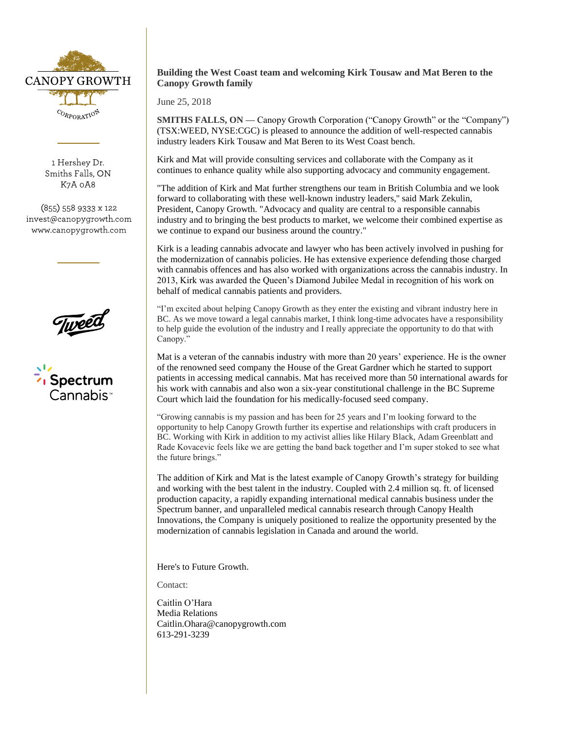

1 Hershey Dr. Smiths Falls, ON K7A 0A8

(855) 558 9333 x 122 invest@canopygrowth.com www.canopygrowth.com



 $\frac{1}{2}$ Spectrum

## **Building the West Coast team and welcoming Kirk Tousaw and Mat Beren to the Canopy Growth family**

June 25, 2018

**SMITHS FALLS, ON — Canopy Growth Corporation ("Canopy Growth" or the "Company")** (TSX:WEED, NYSE:CGC) is pleased to announce the addition of well-respected cannabis industry leaders Kirk Tousaw and Mat Beren to its West Coast bench.

Kirk and Mat will provide consulting services and collaborate with the Company as it continues to enhance quality while also supporting advocacy and community engagement.

"The addition of Kirk and Mat further strengthens our team in British Columbia and we look forward to collaborating with these well-known industry leaders,'' said Mark Zekulin, President, Canopy Growth. "Advocacy and quality are central to a responsible cannabis industry and to bringing the best products to market, we welcome their combined expertise as we continue to expand our business around the country."

Kirk is a leading cannabis advocate and lawyer who has been actively involved in pushing for the modernization of cannabis policies. He has extensive experience defending those charged with cannabis offences and has also worked with organizations across the cannabis industry. In 2013, Kirk was awarded the Queen's Diamond Jubilee Medal in recognition of his work on behalf of medical cannabis patients and providers.

"I'm excited about helping Canopy Growth as they enter the existing and vibrant industry here in BC. As we move toward a legal cannabis market, I think long-time advocates have a responsibility to help guide the evolution of the industry and I really appreciate the opportunity to do that with Canopy."

Mat is a veteran of the cannabis industry with more than 20 years' experience. He is the owner of the renowned seed company the House of the Great Gardner which he started to support patients in accessing medical cannabis. Mat has received more than 50 international awards for his work with cannabis and also won a six-year constitutional challenge in the BC Supreme Court which laid the foundation for his medically-focused seed company.

"Growing cannabis is my passion and has been for 25 years and I'm looking forward to the opportunity to help Canopy Growth further its expertise and relationships with craft producers in BC. Working with Kirk in addition to my activist allies like Hilary Black, Adam Greenblatt and Rade Kovacevic feels like we are getting the band back together and I'm super stoked to see what the future brings."

The addition of Kirk and Mat is the latest example of Canopy Growth's strategy for building and working with the best talent in the industry. Coupled with 2.4 million sq. ft. of licensed production capacity, a rapidly expanding international medical cannabis business under the Spectrum banner, and unparalleled medical cannabis research through Canopy Health Innovations, the Company is uniquely positioned to realize the opportunity presented by the modernization of cannabis legislation in Canada and around the world.

Here's to Future Growth.

Contact:

Caitlin O'Hara Media Relations [Caitlin.Ohara@canopygrowth.com](mailto:Caitlin.ohara@canopygrowth.com) 613-291-3239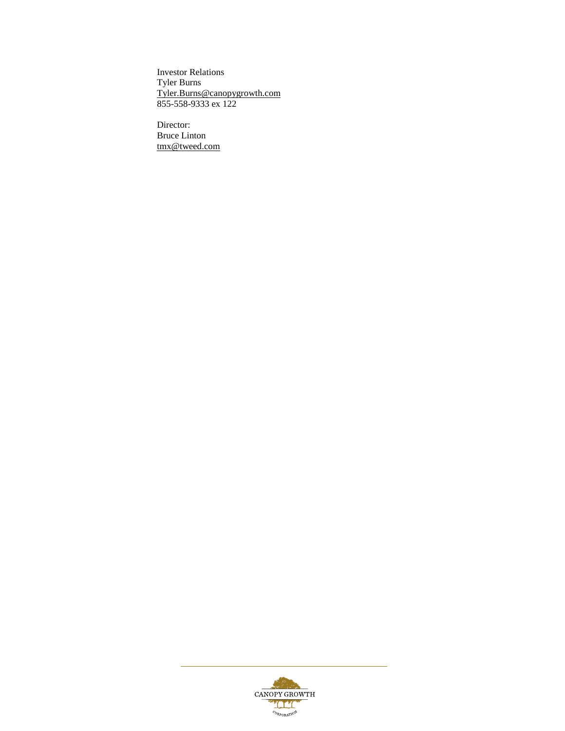Investor Relations Tyler Burns [Tyler.Burns@canopygrowth.com](mailto:Tyler.Burns@canopygrowth.com) 855-558-9333 ex 122

Director: Bruce Linton [tmx@tweed.com](mailto:tmx@tweed.com)